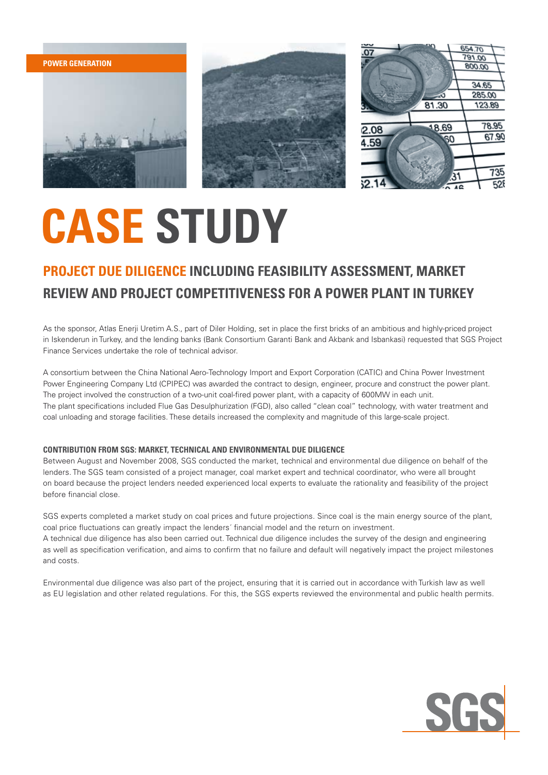







# **CASE STUDY**

### **Project due diligence including feasibility assessment, market review and project competitiveness for a power plant in Turkey**

As the sponsor, Atlas Enerji Uretim A.S., part of Diler Holding, set in place the first bricks of an ambitious and highly-priced project in Iskenderun in Turkey, and the lending banks (Bank Consortium Garanti Bank and Akbank and Isbankasi) requested that SGS Project Finance Services undertake the role of technical advisor.

A consortium between the China National Aero-Technology Import and Export Corporation (CATIC) and China Power Investment Power Engineering Company Ltd (CPIPEC) was awarded the contract to design, engineer, procure and construct the power plant. The project involved the construction of a two-unit coal-fired power plant, with a capacity of 600MW in each unit. The plant specifications included Flue Gas Desulphurization (FGD), also called "clean coal" technology, with water treatment and coal unloading and storage facilities. These details increased the complexity and magnitude of this large-scale project.

#### **Contribution from SGS: Market, Technical and Environmental Due Diligence**

Between August and November 2008, SGS conducted the market, technical and environmental due diligence on behalf of the lenders. The SGS team consisted of a project manager, coal market expert and technical coordinator, who were all brought on board because the project lenders needed experienced local experts to evaluate the rationality and feasibility of the project before financial close.

SGS experts completed a market study on coal prices and future projections. Since coal is the main energy source of the plant, coal price fluctuations can greatly impact the lenders´ financial model and the return on investment. A technical due diligence has also been carried out. Technical due diligence includes the survey of the design and engineering as well as specification verification, and aims to confirm that no failure and default will negatively impact the project milestones and costs.

Environmental due diligence was also part of the project, ensuring that it is carried out in accordance with Turkish law as well as EU legislation and other related regulations. For this, the SGS experts reviewed the environmental and public health permits.